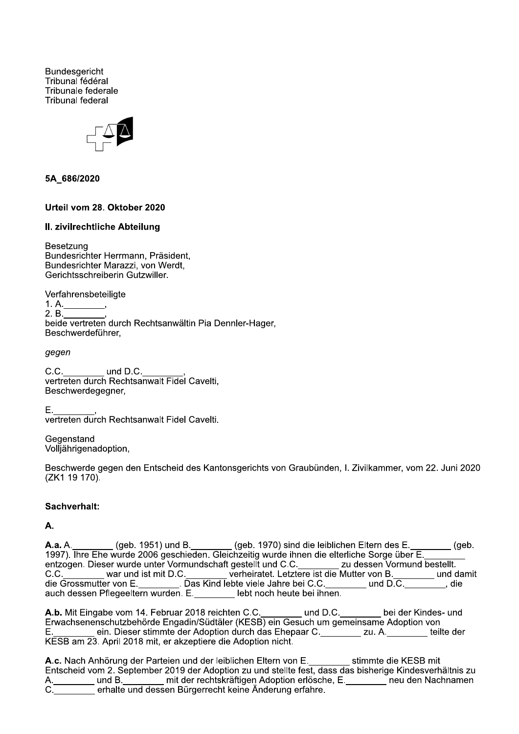**Bundesgericht** Tribunal fédéral Tribunale federale **Tribunal federal** 



### 5A 686/2020

### Urteil vom 28. Oktober 2020

### II. zivilrechtliche Abteilung

Besetzung Bundesrichter Herrmann, Präsident, Bundesrichter Marazzi, von Werdt, Gerichtsschreiberin Gutzwiller.

Verfahrensbeteiligte

 $1. A.$  $2. B.$ beide vertreten durch Rechtsanwältin Pia Dennler-Hager. Beschwerdeführer.

gegen

C.C. und D.C. vertreten durch Rechtsanwalt Fidel Cavelti, Beschwerdegegner,

Ε. vertreten durch Rechtsanwalt Fidel Cavelti.

Gegenstand Volljährigenadoption,

Beschwerde gegen den Entscheid des Kantonsgerichts von Graubünden, I. Zivilkammer, vom 22. Juni 2020 (ZK1 19 170).

### Sachverhalt:

А.

A.a. A. \_\_\_\_\_\_\_\_(geb. 1951) und B. \_\_\_\_\_\_\_\_(geb. 1970) sind die leiblichen Eltern des E. \_\_\_\_<br>1997). Ihre Ehe wurde 2006 geschieden. Gleichzeitig wurde ihnen die elterliche Sorge über E. \_ (geb. \_\_\_\_\_\_ und damit die , auch dessen Pflegeeltern wurden. E. lebt noch heute bei ihnen.

A.b. Mit Eingabe vom 14. Februar 2018 reichten C.C. \_\_\_\_\_ und D.C. \_\_\_\_\_ bei der Kindes- und Erwachsenenschutzbehörde Engadin/Südtäler (KESB) ein Gesuch um gemeinsame Adoption von  $E_{\rm{max}}$ ein. Dieser stimmte der Adoption durch das Ehepaar C. \_\_\_\_\_\_\_\_ zu. A. \_\_\_\_\_\_\_ teilte der KESB am 23. April 2018 mit, er akzeptiere die Adoption nicht.

A.c. Nach Anhörung der Parteien und der leiblichen Eltern von E.<br>Entscheid vom 2. September 2019 der Adoption zu und stellte fest, dass das bisherige Kindesverhältnis zu \_\_\_\_\_\_ und B.\_\_\_\_\_\_\_\_ mit der rechtskräftigen Adoption erlösche, E.\_\_\_\_\_\_\_\_\_neu den Nachnamen<br>\_\_\_\_\_\_\_ erhalte und dessen Bürgerrecht keine Änderung erfahre.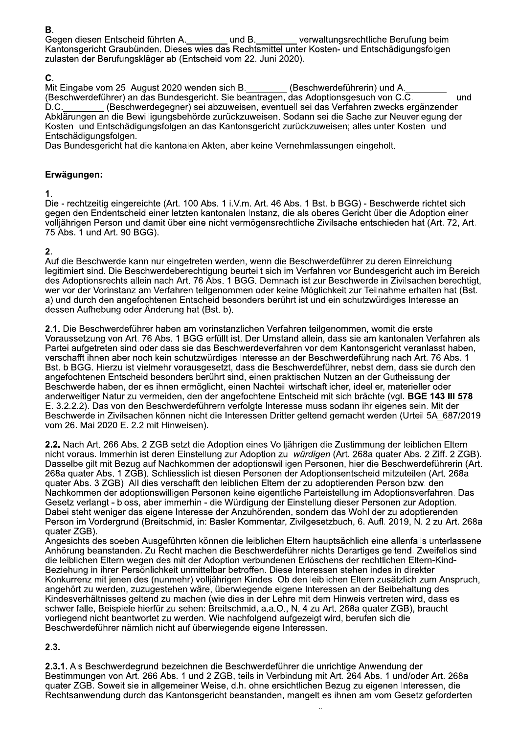Gegen diesen Entscheid führten A. und B. verwaltungsrechtliche Berufung beim Kantonsgericht Graubünden. Dieses wies das Rechtsmittel unter Kosten- und Entschädigungsfolgen zulasten der Berufungskläger ab (Entscheid vom 22. Juni 2020).

## C.

Mit Eingabe vom 25. August 2020 wenden sich B.<br>(Beschwerdeführer) an das Bundesgericht. Sie beantragen, das Adoptionsgesuch von C.C. und (Beschwerdegegner) sei abzuweisen, eventuell sei das Verfahren zwecks ergänzender  $D.C.$ Abklärungen an die Bewilligungsbehörde zurückzuweisen. Sodann sei die Sache zur Neuverlegung der Kosten- und Entschädigungsfolgen an das Kantonsgericht zurückzuweisen; alles unter Kosten- und Entschädigungsfolgen.

Das Bundesgericht hat die kantonalen Akten, aber keine Vernehmlassungen eingeholt.

## Erwägungen:

### $\mathbf 1$ .

Die - rechtzeitig eingereichte (Art. 100 Abs. 1 i.V.m. Art. 46 Abs. 1 Bst. b BGG) - Beschwerde richtet sich gegen den Endentscheid einer letzten kantonalen Instanz, die als oberes Gericht über die Adoption einer volljährigen Person und damit über eine nicht vermögensrechtliche Zivilsache entschieden hat (Art. 72, Art. 75 Abs. 1 und Art. 90 BGG).

# 2.

Auf die Beschwerde kann nur eingetreten werden, wenn die Beschwerdeführer zu deren Einreichung legitimiert sind. Die Beschwerdeberechtigung beurteilt sich im Verfahren vor Bundesgericht auch im Bereich des Adoptionsrechts allein nach Art. 76 Abs. 1 BGG. Demnach ist zur Beschwerde in Zivilsachen berechtigt, wer vor der Vorinstanz am Verfahren teilgenommen oder keine Möglichkeit zur Teilnahme erhalten hat (Bst. a) und durch den angefochtenen Entscheid besonders berührt ist und ein schutzwürdiges Interesse an dessen Aufhebung oder Änderung hat (Bst. b).

2.1. Die Beschwerdeführer haben am vorinstanzlichen Verfahren teilgenommen, womit die erste Voraussetzung von Art. 76 Abs. 1 BGG erfüllt ist. Der Umstand allein, dass sie am kantonalen Verfahren als Partei aufgetreten sind oder dass sie das Beschwerdeverfahren vor dem Kantonsgericht veranlasst haben, verschafft ihnen aber noch kein schutzwürdiges Interesse an der Beschwerdeführung nach Art. 76 Abs. 1 Bst. b BGG. Hierzu ist vielmehr vorausgesetzt, dass die Beschwerdeführer, nebst dem, dass sie durch den angefochtenen Entscheid besonders berührt sind, einen praktischen Nutzen an der Gutheissung der Beschwerde haben, der es ihnen ermöglicht, einen Nachteil wirtschaftlicher, ideeller, materieller oder anderweitiger Natur zu vermeiden, den der angefochtene Entscheid mit sich brächte (vgl. BGE 143 III 578 E. 3.2.2.2). Das von den Beschwerdeführern verfolgte Interesse muss sodann ihr eigenes sein. Mit der Beschwerde in Zivilsachen können nicht die Interessen Dritter geltend gemacht werden (Urteil 5A 687/2019 vom 26. Mai 2020 E. 2.2 mit Hinweisen).

2.2. Nach Art. 266 Abs. 2 ZGB setzt die Adoption eines Volljährigen die Zustimmung der leiblichen Eltern nicht voraus. Immerhin ist deren Einstellung zur Adoption zu würdigen (Art. 268a quater Abs. 2 Ziff. 2 ZGB). Dasselbe gilt mit Bezug auf Nachkommen der adoptionswilligen Personen, hier die Beschwerdeführerin (Art. 268a quater Abs. 1 ZGB). Schliesslich ist diesen Personen der Adoptionsentscheid mitzuteilen (Art. 268a quater Abs. 3 ZGB). All dies verschafft den leiblichen Eltern der zu adoptierenden Person bzw. den Nachkommen der adoptionswilligen Personen keine eigentliche Parteistellung im Adoptionsverfahren. Das Gesetz verlangt - bloss, aber immerhin - die Würdigung der Einstellung dieser Personen zur Adoption. Dabei steht weniger das eigene Interesse der Anzuhörenden, sondern das Wohl der zu adoptierenden Person im Vordergrund (Breitschmid, in: Basler Kommentar, Zivilgesetzbuch, 6. Aufl. 2019, N. 2 zu Art. 268a quater ZGB).

Angesichts des soeben Ausgeführten können die leiblichen Eltern hauptsächlich eine allenfalls unterlassene Anhörung beanstanden. Zu Recht machen die Beschwerdeführer nichts Derartiges geltend. Zweifellos sind die leiblichen Eltern wegen des mit der Adoption verbundenen Erlöschens der rechtlichen Eltern-Kind-Beziehung in ihrer Persönlichkeit unmittelbar betroffen. Diese Interessen stehen indes in direkter Konkurrenz mit jenen des (nunmehr) volljährigen Kindes. Ob den leiblichen Eltern zusätzlich zum Anspruch. angehört zu werden, zuzugestehen wäre, überwiegende eigene Interessen an der Beibehaltung des Kindesverhältnisses geltend zu machen (wie dies in der Lehre mit dem Hinweis vertreten wird, dass es schwer falle, Beispiele hierfür zu sehen: Breitschmid, a.a.O., N. 4 zu Art. 268a quater ZGB), braucht vorliegend nicht beantwortet zu werden. Wie nachfolgend aufgezeigt wird, berufen sich die Beschwerdeführer nämlich nicht auf überwiegende eigene Interessen.

# $2.3.$

2.3.1. Als Beschwerdegrund bezeichnen die Beschwerdeführer die unrichtige Anwendung der Bestimmungen von Art. 266 Abs. 1 und 2 ZGB, teils in Verbindung mit Art. 264 Abs. 1 und/oder Art. 268a quater ZGB. Soweit sie in allgemeiner Weise, d.h. ohne ersichtlichen Bezug zu eigenen Interessen, die Rechtsanwendung durch das Kantonsgericht beanstanden, mangelt es ihnen am vom Gesetz geforderten